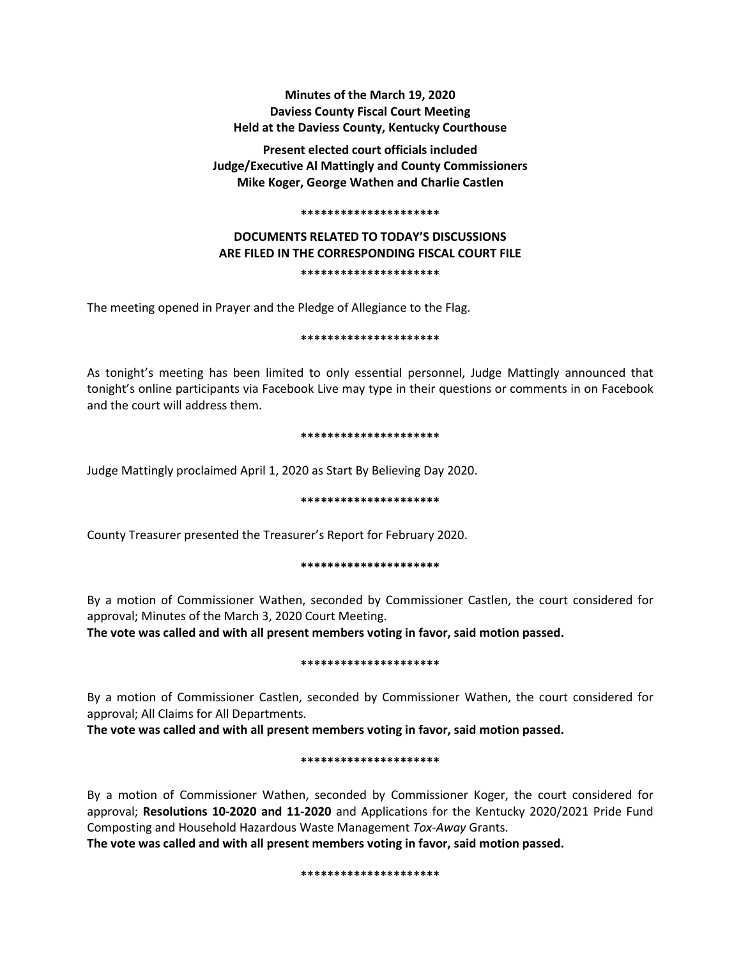# **Minutes of the March 19, 2020 Daviess County Fiscal Court Meeting Held at the Daviess County, Kentucky Courthouse**

**Present elected court officials included Judge/Executive Al Mattingly and County Commissioners Mike Koger, George Wathen and Charlie Castlen**

#### **\*\*\*\*\*\*\*\*\*\*\*\*\*\*\*\*\*\*\*\*\***

# **DOCUMENTS RELATED TO TODAY'S DISCUSSIONS ARE FILED IN THE CORRESPONDING FISCAL COURT FILE \*\*\*\*\*\*\*\*\*\*\*\*\*\*\*\*\*\*\*\*\***

The meeting opened in Prayer and the Pledge of Allegiance to the Flag.

### **\*\*\*\*\*\*\*\*\*\*\*\*\*\*\*\*\*\*\*\*\***

As tonight's meeting has been limited to only essential personnel, Judge Mattingly announced that tonight's online participants via Facebook Live may type in their questions or comments in on Facebook and the court will address them.

### **\*\*\*\*\*\*\*\*\*\*\*\*\*\*\*\*\*\*\*\*\***

Judge Mattingly proclaimed April 1, 2020 as Start By Believing Day 2020.

### **\*\*\*\*\*\*\*\*\*\*\*\*\*\*\*\*\*\*\*\*\***

County Treasurer presented the Treasurer's Report for February 2020.

## **\*\*\*\*\*\*\*\*\*\*\*\*\*\*\*\*\*\*\*\*\***

By a motion of Commissioner Wathen, seconded by Commissioner Castlen, the court considered for approval; Minutes of the March 3, 2020 Court Meeting.

**The vote was called and with all present members voting in favor, said motion passed.** 

## **\*\*\*\*\*\*\*\*\*\*\*\*\*\*\*\*\*\*\*\*\***

By a motion of Commissioner Castlen, seconded by Commissioner Wathen, the court considered for approval; All Claims for All Departments.

**The vote was called and with all present members voting in favor, said motion passed.** 

## **\*\*\*\*\*\*\*\*\*\*\*\*\*\*\*\*\*\*\*\*\***

By a motion of Commissioner Wathen, seconded by Commissioner Koger, the court considered for approval; **Resolutions 10-2020 and 11-2020** and Applications for the Kentucky 2020/2021 Pride Fund Composting and Household Hazardous Waste Management *Tox-Away* Grants.

**The vote was called and with all present members voting in favor, said motion passed.** 

**\*\*\*\*\*\*\*\*\*\*\*\*\*\*\*\*\*\*\*\*\***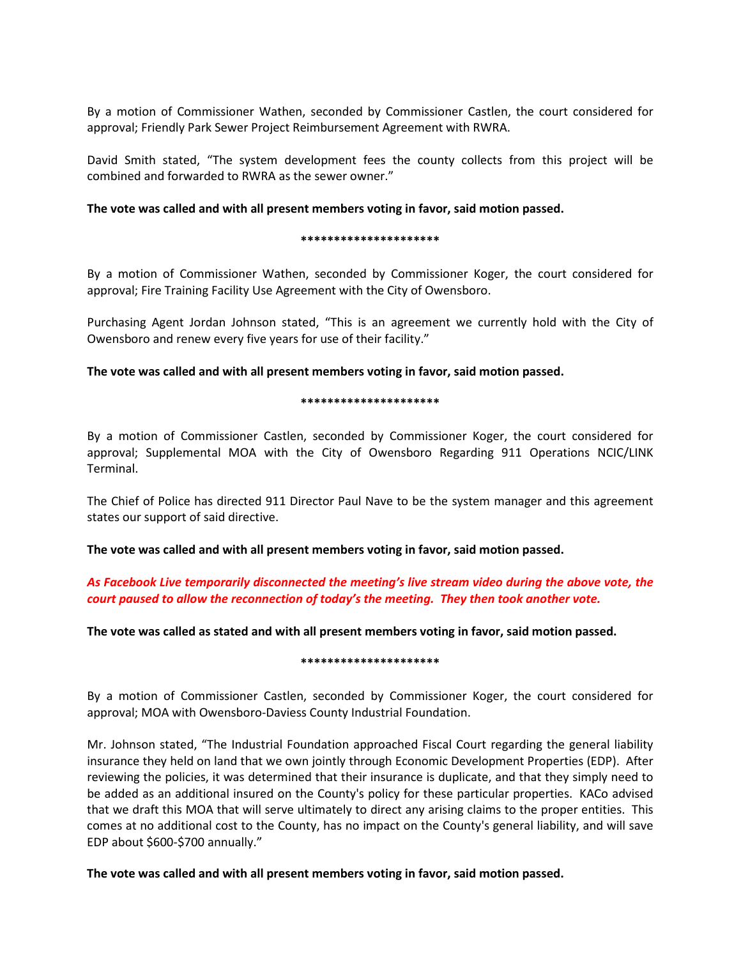By a motion of Commissioner Wathen, seconded by Commissioner Castlen, the court considered for approval; Friendly Park Sewer Project Reimbursement Agreement with RWRA.

David Smith stated, "The system development fees the county collects from this project will be combined and forwarded to RWRA as the sewer owner."

## **The vote was called and with all present members voting in favor, said motion passed.**

### **\*\*\*\*\*\*\*\*\*\*\*\*\*\*\*\*\*\*\*\*\***

By a motion of Commissioner Wathen, seconded by Commissioner Koger, the court considered for approval; Fire Training Facility Use Agreement with the City of Owensboro.

Purchasing Agent Jordan Johnson stated, "This is an agreement we currently hold with the City of Owensboro and renew every five years for use of their facility."

**The vote was called and with all present members voting in favor, said motion passed.** 

### **\*\*\*\*\*\*\*\*\*\*\*\*\*\*\*\*\*\*\*\*\***

By a motion of Commissioner Castlen, seconded by Commissioner Koger, the court considered for approval; Supplemental MOA with the City of Owensboro Regarding 911 Operations NCIC/LINK Terminal.

The Chief of Police has directed 911 Director Paul Nave to be the system manager and this agreement states our support of said directive.

**The vote was called and with all present members voting in favor, said motion passed.** 

# *As Facebook Live temporarily disconnected the meeting's live stream video during the above vote, the court paused to allow the reconnection of today's the meeting. They then took another vote.*

**The vote was called as stated and with all present members voting in favor, said motion passed.** 

#### **\*\*\*\*\*\*\*\*\*\*\*\*\*\*\*\*\*\*\*\*\***

By a motion of Commissioner Castlen, seconded by Commissioner Koger, the court considered for approval; MOA with Owensboro-Daviess County Industrial Foundation.

Mr. Johnson stated, "The Industrial Foundation approached Fiscal Court regarding the general liability insurance they held on land that we own jointly through Economic Development Properties (EDP). After reviewing the policies, it was determined that their insurance is duplicate, and that they simply need to be added as an additional insured on the County's policy for these particular properties. KACo advised that we draft this MOA that will serve ultimately to direct any arising claims to the proper entities. This comes at no additional cost to the County, has no impact on the County's general liability, and will save EDP about \$600-\$700 annually."

**The vote was called and with all present members voting in favor, said motion passed.**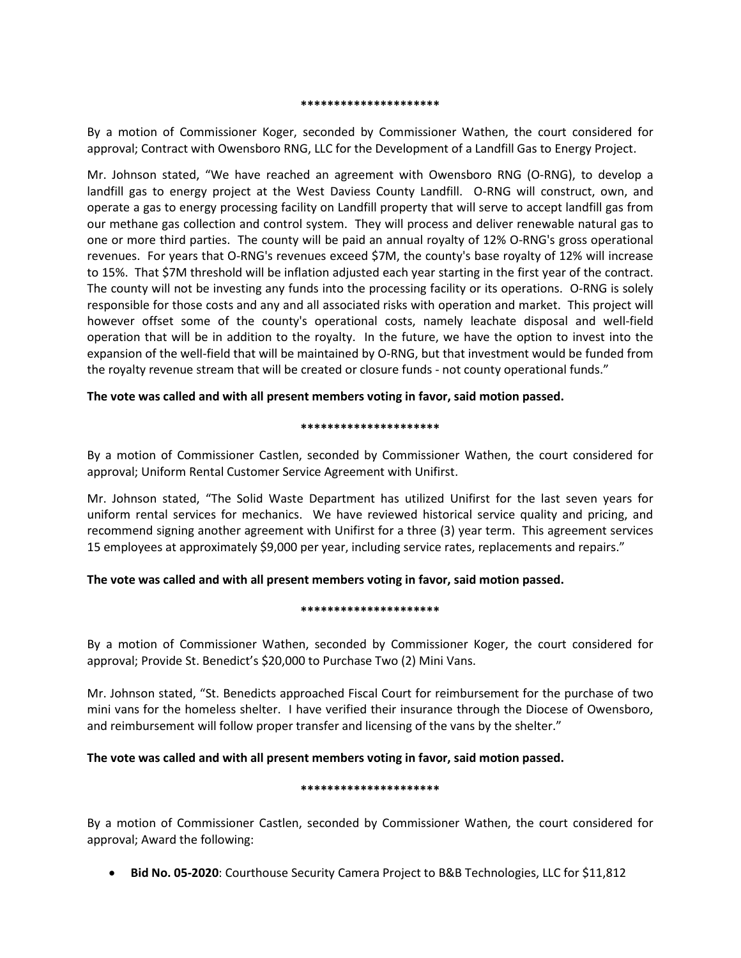#### **\*\*\*\*\*\*\*\*\*\*\*\*\*\*\*\*\*\*\*\*\***

By a motion of Commissioner Koger, seconded by Commissioner Wathen, the court considered for approval; Contract with Owensboro RNG, LLC for the Development of a Landfill Gas to Energy Project.

Mr. Johnson stated, "We have reached an agreement with Owensboro RNG (O-RNG), to develop a landfill gas to energy project at the West Daviess County Landfill. O-RNG will construct, own, and operate a gas to energy processing facility on Landfill property that will serve to accept landfill gas from our methane gas collection and control system. They will process and deliver renewable natural gas to one or more third parties. The county will be paid an annual royalty of 12% O-RNG's gross operational revenues. For years that O-RNG's revenues exceed \$7M, the county's base royalty of 12% will increase to 15%. That \$7M threshold will be inflation adjusted each year starting in the first year of the contract. The county will not be investing any funds into the processing facility or its operations. O-RNG is solely responsible for those costs and any and all associated risks with operation and market. This project will however offset some of the county's operational costs, namely leachate disposal and well-field operation that will be in addition to the royalty. In the future, we have the option to invest into the expansion of the well-field that will be maintained by O-RNG, but that investment would be funded from the royalty revenue stream that will be created or closure funds - not county operational funds."

## **The vote was called and with all present members voting in favor, said motion passed.**

## **\*\*\*\*\*\*\*\*\*\*\*\*\*\*\*\*\*\*\*\*\***

By a motion of Commissioner Castlen, seconded by Commissioner Wathen, the court considered for approval; Uniform Rental Customer Service Agreement with Unifirst.

Mr. Johnson stated, "The Solid Waste Department has utilized Unifirst for the last seven years for uniform rental services for mechanics. We have reviewed historical service quality and pricing, and recommend signing another agreement with Unifirst for a three (3) year term. This agreement services 15 employees at approximately \$9,000 per year, including service rates, replacements and repairs."

# **The vote was called and with all present members voting in favor, said motion passed.**

## **\*\*\*\*\*\*\*\*\*\*\*\*\*\*\*\*\*\*\*\*\***

By a motion of Commissioner Wathen, seconded by Commissioner Koger, the court considered for approval; Provide St. Benedict's \$20,000 to Purchase Two (2) Mini Vans.

Mr. Johnson stated, "St. Benedicts approached Fiscal Court for reimbursement for the purchase of two mini vans for the homeless shelter. I have verified their insurance through the Diocese of Owensboro, and reimbursement will follow proper transfer and licensing of the vans by the shelter."

# **The vote was called and with all present members voting in favor, said motion passed.**

## **\*\*\*\*\*\*\*\*\*\*\*\*\*\*\*\*\*\*\*\*\***

By a motion of Commissioner Castlen, seconded by Commissioner Wathen, the court considered for approval; Award the following:

• **Bid No. 05-2020**: Courthouse Security Camera Project to B&B Technologies, LLC for \$11,812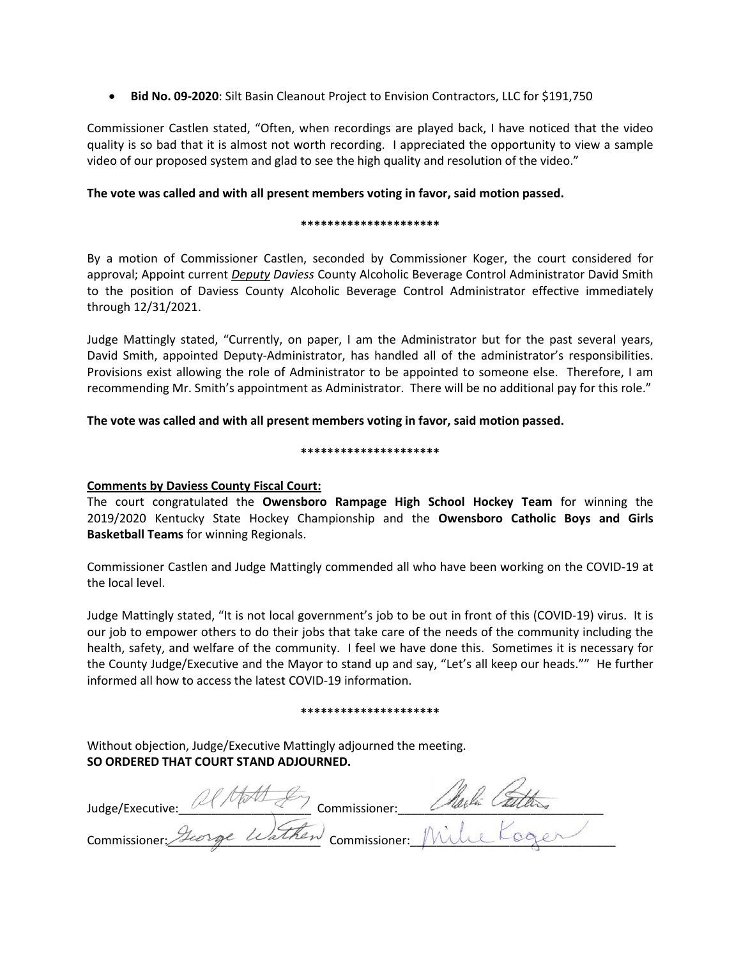• **Bid No. 09-2020**: Silt Basin Cleanout Project to Envision Contractors, LLC for \$191,750

Commissioner Castlen stated, "Often, when recordings are played back, I have noticed that the video quality is so bad that it is almost not worth recording. I appreciated the opportunity to view a sample video of our proposed system and glad to see the high quality and resolution of the video."

# **The vote was called and with all present members voting in favor, said motion passed.**

## **\*\*\*\*\*\*\*\*\*\*\*\*\*\*\*\*\*\*\*\*\***

By a motion of Commissioner Castlen, seconded by Commissioner Koger, the court considered for approval; Appoint current *Deputy Daviess* County Alcoholic Beverage Control Administrator David Smith to the position of Daviess County Alcoholic Beverage Control Administrator effective immediately through 12/31/2021.

Judge Mattingly stated, "Currently, on paper, I am the Administrator but for the past several years, David Smith, appointed Deputy-Administrator, has handled all of the administrator's responsibilities. Provisions exist allowing the role of Administrator to be appointed to someone else. Therefore, I am recommending Mr. Smith's appointment as Administrator. There will be no additional pay for this role."

**The vote was called and with all present members voting in favor, said motion passed.** 

### **\*\*\*\*\*\*\*\*\*\*\*\*\*\*\*\*\*\*\*\*\***

# **Comments by Daviess County Fiscal Court:**

The court congratulated the **Owensboro Rampage High School Hockey Team** for winning the 2019/2020 Kentucky State Hockey Championship and the **Owensboro Catholic Boys and Girls Basketball Teams** for winning Regionals.

Commissioner Castlen and Judge Mattingly commended all who have been working on the COVID-19 at the local level.

Judge Mattingly stated, "It is not local government's job to be out in front of this (COVID-19) virus. It is our job to empower others to do their jobs that take care of the needs of the community including the health, safety, and welfare of the community. I feel we have done this. Sometimes it is necessary for the County Judge/Executive and the Mayor to stand up and say, "Let's all keep our heads."" He further informed all how to access the latest COVID-19 information.

### **\*\*\*\*\*\*\*\*\*\*\*\*\*\*\*\*\*\*\*\*\***

Without objection, Judge/Executive Mattingly adjourned the meeting. **SO ORDERED THAT COURT STAND ADJOURNED.**

Judge/Executive: U Property Commissioner: U Party Called to the Commissioner: Commissioner: Heorge Warnen Commissioner: Wull Loger